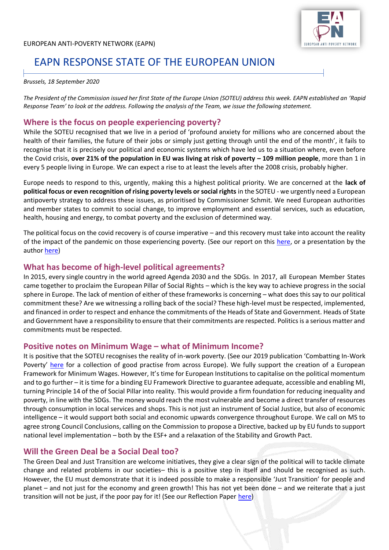

# EAPN RESPONSE STATE OF THE EUROPEAN UNION

#### *Brussels, 18 September 2020*

*The President of the Commission issued her first State of the Europe Union (SOTEU) address this week. EAPN established an 'Rapid Response Team' to look at the address. Following the analysis of the Team, we issue the following statement.*

# **Where is the focus on people experiencing poverty?**

While the SOTEU recognised that we live in a period of 'profound anxiety for millions who are concerned about the health of their families, the future of their jobs or simply just getting through until the end of the month', it fails to recognise that it is precisely our political and economic systems which have led us to a situation where, even before the Covid crisis, **over 21% of the population in EU was living at risk of poverty – 109 million people**, more than 1 in every 5 people living in Europe. We can expect a rise to at least the levels after the 2008 crisis, probably higher.

Europe needs to respond to this, urgently, making this a highest political priority. We are concerned at the **lack of political focus or even recognition of rising poverty levels or social rights** in the SOTEU - we urgently need a European antipoverty strategy to address these issues, as prioritised by Commissioner Schmit. We need European authorities and member states to commit to social change, to improve employment and essential services, such as education, health, housing and energy, to combat poverty and the exclusion of determined way.

The political focus on the covid recovery is of course imperative – and this recovery must take into account the reality of the impact of the pandemic on those experiencing poverty. (See our report on this [here,](https://www.eapn.eu/the-impact-of-covid-19-on-people-experiencing-poverty-and-vulnerability-eapn-report/) or a presentation by the autho[r here\)](https://youtu.be/Oja36va47pw)

#### **What has become of high-level political agreements?**

In 2015, every single country in the world agreed Agenda 2030 and the SDGs. In 2017, all European Member States came together to proclaim the European Pillar of Social Rights – which is the key way to achieve progress in the social sphere in Europe. The lack of mention of either of these frameworks is concerning – what does this say to our political commitment these? Are we witnessing a rolling back of the social? These high-level must be respected, implemented, and financed in order to respect and enhance the commitments of the Heads of State and Government. Heads of State and Government have a responsibility to ensure that their commitments are respected. Politics is a serious matter and commitments must be respected.

#### **Positive notes on Minimum Wage – what of Minimum Income?**

It is positive that the SOTEU recognises the reality of in-work poverty. (See our 2019 publication 'Combatting In-Work Poverty' [here](https://www.eapn.eu/wp-content/uploads/2019/02/EAPN-CompendiumEAPN-V4_nobleed-00.pdf) for a collection of good practise from across Europe). We fully support the creation of a European Framework for Minimum Wages. However, It's time for European Institutions to capitalise on the political momentum and to go further – it is time for a binding EU Framework Directive to guarantee adequate, accessible and enabling MI, turning Principle 14 of the of Social Pillar into reality. This would provide a firm foundation for reducing inequality and poverty, in line with the SDGs. The money would reach the most vulnerable and become a direct transfer of resources through consumption in local services and shops. This is not just an instrument of Social Justice, but also of economic intelligence – it would support both social and economic upwards convergence throughout Europe. We call on MS to agree strong Council Conclusions, calling on the Commission to propose a Directive, backed up by EU funds to support national level implementation – both by the ESF+ and a relaxation of the Stability and Growth Pact.

## **Will the Green Deal be a Social Deal too?**

The Green Deal and Just Transition are welcome initiatives, they give a clear sign of the political will to tackle climate change and related problems in our societies– this is a positive step in itself and should be recognised as such. However, the EU must demonstrate that it is indeed possible to make a responsible 'Just Transition' for people and planet – and not just for the economy and green growth! This has not yet been done – and we reiterate that a just transition will not be just, if the poor pay for it! (See our Reflection Paper [here\)](https://www.eapn.eu/wp-content/uploads/2020/08/EAPN-2020_EAPN-Green-Deal-Key-Messages-Reflection-Paper-4601.pdf)